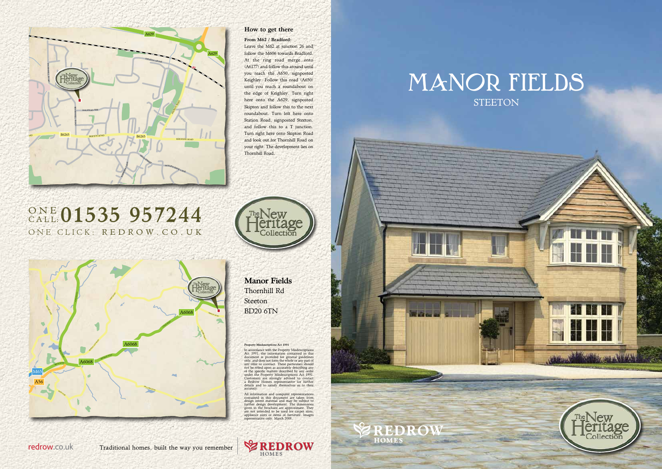In accordance with the Property Misdescriptions<br>Act 1991, the information contained in this<br>document is provided for general guidelines<br>only, and does not form the whole or any part of<br>any offer or contract. These particul of the specific matters described by any order under the Property Misdescriptions Act 1991. Customers are strongly advised to contact a Redrow Homes representative for further details and to satisfy themselves as to their accuracy.

All information and computer representations<br>contained in this document are taken from<br>design intent material and may be subject to<br>further design development. The dimensions<br>given in the brochure are approximate. They<br>giv



## MANOR FIELDS **STEETON**



Manor Fields Thornhill Rd Steeton BD20 6TN

#### riptions Act 1991



## ONE CLICK: REDROW. CO. UK ONE 01535 957244





How to get there From M62 / Bradford:

Leave the M62 at junction 26 and follow the M606 towards Bradford. At the ring road merge onto (A6177) and follow this around until you reach the A650, signposted Keighley. Follow this road (A650) until you reach a roundabout on the edge of Keighley. Turn right here onto the A629, signposted Skipton and follow this to the next roundabout. Turn left here onto Station Road, signposted Steeton, and follow this to a T junction. Turn right here onto Skipton Road and look out for Thornhill Road on your right. The development lies on

Thornhill Road.

### redrow.co.uk